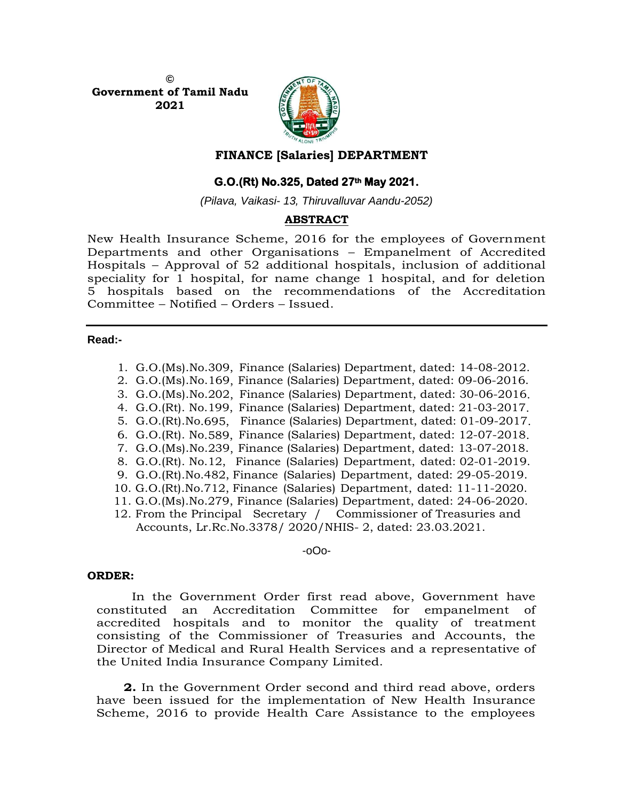**© Government of Tamil Nadu 2021**



# **FINANCE [Salaries] DEPARTMENT**

# **G.O.(Rt) No.325, Dated 27th May 2021.**

*(Pilava, Vaikasi- 13, Thiruvalluvar Aandu-2052)*

# **ABSTRACT**

New Health Insurance Scheme, 2016 for the employees of Government Departments and other Organisations – Empanelment of Accredited Hospitals – Approval of 52 additional hospitals, inclusion of additional speciality for 1 hospital, for name change 1 hospital, and for deletion 5 hospitals based on the recommendations of the Accreditation Committee – Notified – Orders – Issued.

### **Read:-**

 1. G.O.(Ms).No.309, Finance (Salaries) Department, dated: 14-08-2012. 2. G.O.(Ms).No.169, Finance (Salaries) Department, dated: 09-06-2016. 3. G.O.(Ms).No.202, Finance (Salaries) Department, dated: 30-06-2016. 4. G.O.(Rt). No.199, Finance (Salaries) Department, dated: 21-03-2017. 5. G.O.(Rt).No.695, Finance (Salaries) Department, dated: 01-09-2017. 6. G.O.(Rt). No.589, Finance (Salaries) Department, dated: 12-07-2018. 7. G.O.(Ms).No.239, Finance (Salaries) Department, dated: 13-07-2018. 8. G.O.(Rt). No.12, Finance (Salaries) Department, dated: 02-01-2019. 9. G.O.(Rt).No.482, Finance (Salaries) Department, dated: 29-05-2019. 10. G.O.(Rt).No.712, Finance (Salaries) Department, dated: 11-11-2020. 11. G.O.(Ms).No.279, Finance (Salaries) Department, dated: 24-06-2020. 12. From the Principal Secretary / Commissioner of Treasuries and Accounts, Lr.Rc.No.3378/ 2020/NHIS- 2, dated: 23.03.2021.

#### -oOo-

### **ORDER:**

In the Government Order first read above, Government have constituted an Accreditation Committee for empanelment of accredited hospitals and to monitor the quality of treatment consisting of the Commissioner of Treasuries and Accounts, the Director of Medical and Rural Health Services and a representative of the United India Insurance Company Limited.

**2.** In the Government Order second and third read above, orders have been issued for the implementation of New Health Insurance Scheme, 2016 to provide Health Care Assistance to the employees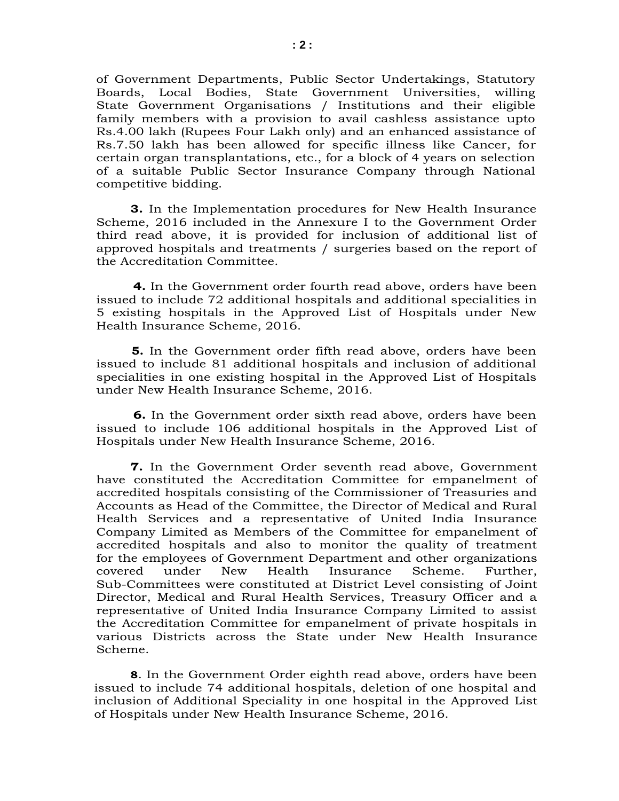of Government Departments, Public Sector Undertakings, Statutory Boards, Local Bodies, State Government Universities, willing State Government Organisations / Institutions and their eligible family members with a provision to avail cashless assistance upto Rs.4.00 lakh (Rupees Four Lakh only) and an enhanced assistance of Rs.7.50 lakh has been allowed for specific illness like Cancer, for certain organ transplantations, etc., for a block of 4 years on selection of a suitable Public Sector Insurance Company through National competitive bidding.

**3.** In the Implementation procedures for New Health Insurance Scheme, 2016 included in the Annexure I to the Government Order third read above, it is provided for inclusion of additional list of approved hospitals and treatments / surgeries based on the report of the Accreditation Committee.

 **4.** In the Government order fourth read above, orders have been issued to include 72 additional hospitals and additional specialities in 5 existing hospitals in the Approved List of Hospitals under New Health Insurance Scheme, 2016.

 **5.** In the Government order fifth read above, orders have been issued to include 81 additional hospitals and inclusion of additional specialities in one existing hospital in the Approved List of Hospitals under New Health Insurance Scheme, 2016.

 **6.** In the Government order sixth read above, orders have been issued to include 106 additional hospitals in the Approved List of Hospitals under New Health Insurance Scheme, 2016.

**7.** In the Government Order seventh read above, Government have constituted the Accreditation Committee for empanelment of accredited hospitals consisting of the Commissioner of Treasuries and Accounts as Head of the Committee, the Director of Medical and Rural Health Services and a representative of United India Insurance Company Limited as Members of the Committee for empanelment of accredited hospitals and also to monitor the quality of treatment for the employees of Government Department and other organizations covered under New Health Insurance Scheme. Further, Sub-Committees were constituted at District Level consisting of Joint Director, Medical and Rural Health Services, Treasury Officer and a representative of United India Insurance Company Limited to assist the Accreditation Committee for empanelment of private hospitals in various Districts across the State under New Health Insurance Scheme.

**8**. In the Government Order eighth read above, orders have been issued to include 74 additional hospitals, deletion of one hospital and inclusion of Additional Speciality in one hospital in the Approved List of Hospitals under New Health Insurance Scheme, 2016.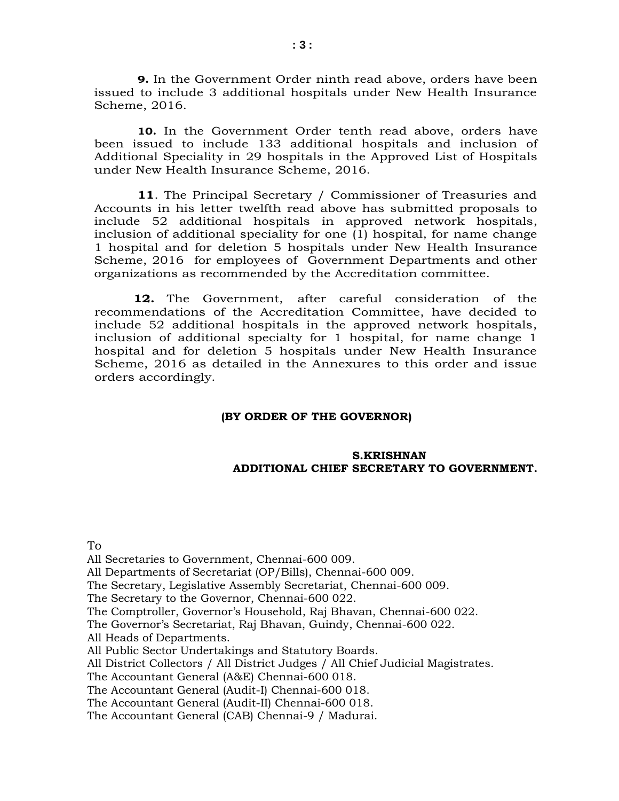**9.** In the Government Order ninth read above, orders have been issued to include 3 additional hospitals under New Health Insurance Scheme, 2016.

**10.** In the Government Order tenth read above, orders have been issued to include 133 additional hospitals and inclusion of Additional Speciality in 29 hospitals in the Approved List of Hospitals under New Health Insurance Scheme, 2016.

**11**. The Principal Secretary / Commissioner of Treasuries and Accounts in his letter twelfth read above has submitted proposals to include 52 additional hospitals in approved network hospitals, inclusion of additional speciality for one (1) hospital, for name change 1 hospital and for deletion 5 hospitals under New Health Insurance Scheme, 2016 for employees of Government Departments and other organizations as recommended by the Accreditation committee.

 **12.** The Government, after careful consideration of the recommendations of the Accreditation Committee, have decided to include 52 additional hospitals in the approved network hospitals, inclusion of additional specialty for 1 hospital, for name change 1 hospital and for deletion 5 hospitals under New Health Insurance Scheme, 2016 as detailed in the Annexures to this order and issue orders accordingly.

#### **(BY ORDER OF THE GOVERNOR)**

## **S.KRISHNAN ADDITIONAL CHIEF SECRETARY TO GOVERNMENT.**

To All Secretaries to Government, Chennai-600 009. All Departments of Secretariat (OP/Bills), Chennai-600 009. The Secretary, Legislative Assembly Secretariat, Chennai-600 009. The Secretary to the Governor, Chennai-600 022. The Comptroller, Governor's Household, Raj Bhavan, Chennai-600 022. The Governor's Secretariat, Raj Bhavan, Guindy, Chennai-600 022. All Heads of Departments. All Public Sector Undertakings and Statutory Boards. All District Collectors / All District Judges / All Chief Judicial Magistrates. The Accountant General (A&E) Chennai-600 018. The Accountant General (Audit-I) Chennai-600 018. The Accountant General (Audit-II) Chennai-600 018. The Accountant General (CAB) Chennai-9 / Madurai.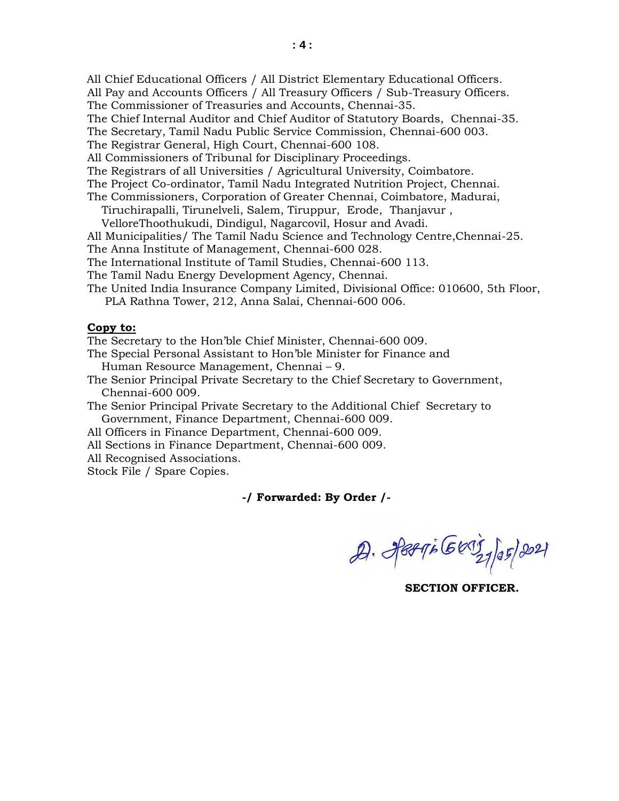All Chief Educational Officers / All District Elementary Educational Officers.

All Pay and Accounts Officers / All Treasury Officers / Sub-Treasury Officers.

The Commissioner of Treasuries and Accounts, Chennai-35.

The Chief Internal Auditor and Chief Auditor of Statutory Boards, Chennai-35.

The Secretary, Tamil Nadu Public Service Commission, Chennai-600 003.

The Registrar General, High Court, Chennai-600 108.

All Commissioners of Tribunal for Disciplinary Proceedings.

The Registrars of all Universities / Agricultural University, Coimbatore.

The Project Co-ordinator, Tamil Nadu Integrated Nutrition Project, Chennai.

The Commissioners, Corporation of Greater Chennai, Coimbatore, Madurai, Tiruchirapalli, Tirunelveli, Salem, Tiruppur, Erode, Thanjavur ,

VelloreThoothukudi, Dindigul, Nagarcovil, Hosur and Avadi.

All Municipalities/ The Tamil Nadu Science and Technology Centre,Chennai-25.

The Anna Institute of Management, Chennai-600 028.

The International Institute of Tamil Studies, Chennai-600 113.

The Tamil Nadu Energy Development Agency, Chennai.

The United India Insurance Company Limited, Divisional Office: 010600, 5th Floor, PLA Rathna Tower, 212, Anna Salai, Chennai-600 006.

## **Copy to:**

The Secretary to the Hon'ble Chief Minister, Chennai-600 009.

The Special Personal Assistant to Hon'ble Minister for Finance and Human Resource Management, Chennai – 9.

The Senior Principal Private Secretary to the Chief Secretary to Government, Chennai-600 009.

The Senior Principal Private Secretary to the Additional Chief Secretary to Government, Finance Department, Chennai-600 009.

All Officers in Finance Department, Chennai-600 009.

All Sections in Finance Department, Chennai-600 009.

All Recognised Associations.

Stock File / Spare Copies.

# **-/ Forwarded: By Order /-**

 $29.$  PEPTE GEORG 27/05/2021

 **SECTION OFFICER.**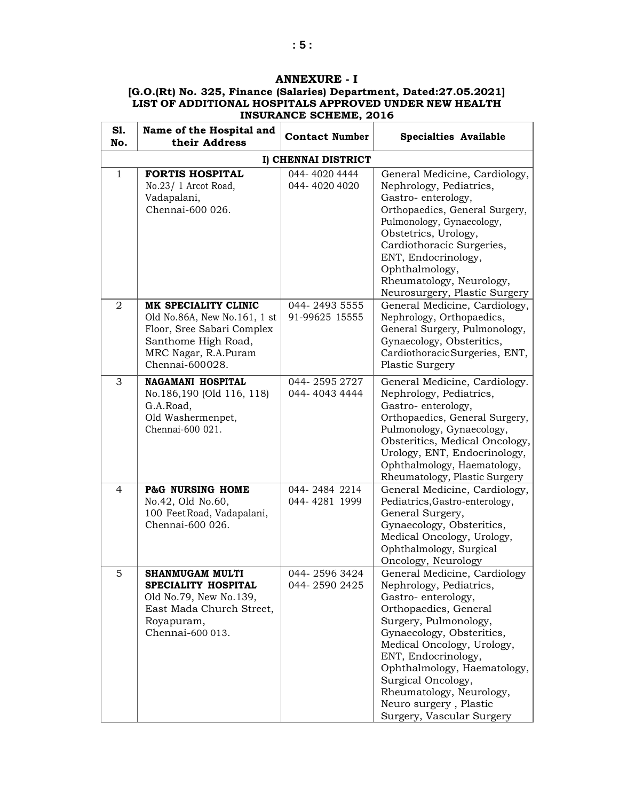# **ANNEXURE - I**

| S1.<br>No.     | Name of the Hospital and<br>their Address                                                                                                            | <b>Contact Number</b>           | <b>Specialties Available</b>                                                                                                                                                                                                                                                                                                                              |
|----------------|------------------------------------------------------------------------------------------------------------------------------------------------------|---------------------------------|-----------------------------------------------------------------------------------------------------------------------------------------------------------------------------------------------------------------------------------------------------------------------------------------------------------------------------------------------------------|
|                |                                                                                                                                                      | I) CHENNAI DISTRICT             |                                                                                                                                                                                                                                                                                                                                                           |
| $\mathbf{1}$   | <b>FORTIS HOSPITAL</b><br>No.23/ 1 Arcot Road,<br>Vadapalani,<br>Chennai-600 026.                                                                    | 044-40204444<br>044-40204020    | General Medicine, Cardiology,<br>Nephrology, Pediatrics,<br>Gastro-enterology,<br>Orthopaedics, General Surgery,<br>Pulmonology, Gynaecology,<br>Obstetrics, Urology,<br>Cardiothoracic Surgeries,<br>ENT, Endocrinology,<br>Ophthalmology,<br>Rheumatology, Neurology,<br>Neurosurgery, Plastic Surgery                                                  |
| $\overline{2}$ | MK SPECIALITY CLINIC<br>Old No.86A, New No.161, 1 st<br>Floor, Sree Sabari Complex<br>Santhome High Road,<br>MRC Nagar, R.A.Puram<br>Chennai-600028. | 044-2493 5555<br>91-99625 15555 | General Medicine, Cardiology,<br>Nephrology, Orthopaedics,<br>General Surgery, Pulmonology,<br>Gynaecology, Obsteritics,<br>Cardiothoracic Surgeries, ENT,<br>Plastic Surgery                                                                                                                                                                             |
| 3              | <b>NAGAMANI HOSPITAL</b><br>No.186,190 (Old 116, 118)<br>G.A.Road,<br>Old Washermenpet,<br>Chennai-600 021.                                          | 044-25952727<br>044-40434444    | General Medicine, Cardiology.<br>Nephrology, Pediatrics,<br>Gastro-enterology,<br>Orthopaedics, General Surgery,<br>Pulmonology, Gynaecology,<br>Obsteritics, Medical Oncology,<br>Urology, ENT, Endocrinology,<br>Ophthalmology, Haematology,<br>Rheumatology, Plastic Surgery                                                                           |
| $\overline{4}$ | <b>P&amp;G NURSING HOME</b><br>No.42, Old No.60,<br>100 FeetRoad, Vadapalani,<br>Chennai-600 026.                                                    | 044-2484 2214<br>044-4281 1999  | General Medicine, Cardiology,<br>Pediatrics, Gastro-enterology,<br>General Surgery,<br>Gynaecology, Obsteritics,<br>Medical Oncology, Urology,<br>Ophthalmology, Surgical<br>Oncology, Neurology                                                                                                                                                          |
| 5              | <b>SHANMUGAM MULTI</b><br>SPECIALITY HOSPITAL<br>Old No.79, New No.139,<br>East Mada Church Street,<br>Royapuram,<br>Chennai-600 013.                | 044-25963424<br>044-2590 2425   | General Medicine, Cardiology<br>Nephrology, Pediatrics,<br>Gastro-enterology,<br>Orthopaedics, General<br>Surgery, Pulmonology,<br>Gynaecology, Obsteritics,<br>Medical Oncology, Urology,<br>ENT, Endocrinology,<br>Ophthalmology, Haematology,<br>Surgical Oncology,<br>Rheumatology, Neurology,<br>Neuro surgery, Plastic<br>Surgery, Vascular Surgery |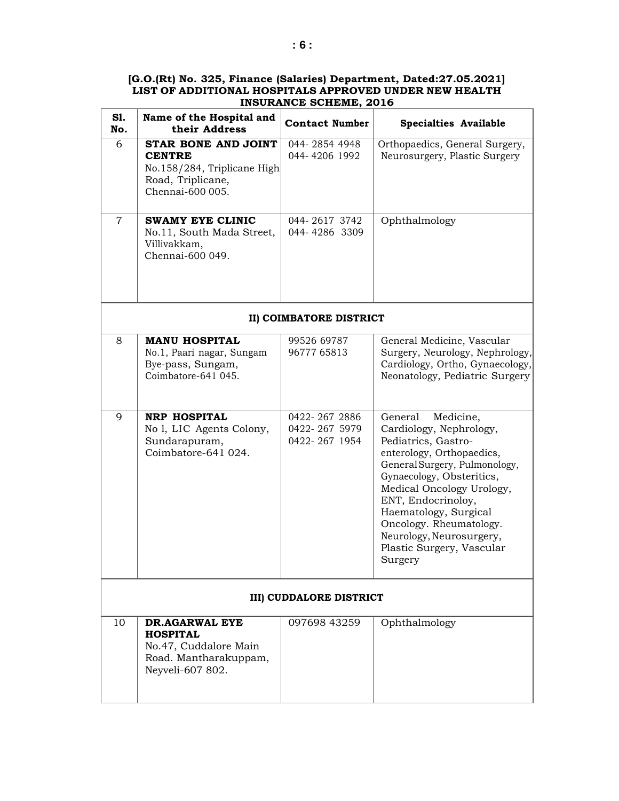| S1.<br>No.     | Name of the Hospital and<br>their Address                                                                    | <b>Contact Number</b>                           | <b>Specialties Available</b>                                                                                                                                                                                                                                                                                                                 |  |
|----------------|--------------------------------------------------------------------------------------------------------------|-------------------------------------------------|----------------------------------------------------------------------------------------------------------------------------------------------------------------------------------------------------------------------------------------------------------------------------------------------------------------------------------------------|--|
| 6              | STAR BONE AND JOINT<br><b>CENTRE</b><br>No.158/284, Triplicane High<br>Road, Triplicane,<br>Chennai-600 005. | 044-2854 4948<br>044-4206 1992                  | Orthopaedics, General Surgery,<br>Neurosurgery, Plastic Surgery                                                                                                                                                                                                                                                                              |  |
| $\overline{7}$ | <b>SWAMY EYE CLINIC</b><br>No.11, South Mada Street,<br>Villivakkam,<br>Chennai-600 049.                     | 044-2617 3742<br>044-4286 3309                  | Ophthalmology                                                                                                                                                                                                                                                                                                                                |  |
|                |                                                                                                              | II) COIMBATORE DISTRICT                         |                                                                                                                                                                                                                                                                                                                                              |  |
| 8              | <b>MANU HOSPITAL</b><br>No.1, Paari nagar, Sungam<br>Bye-pass, Sungam,<br>Coimbatore-641 045.                | 99526 69787<br>96777 65813                      | General Medicine, Vascular<br>Surgery, Neurology, Nephrology,<br>Cardiology, Ortho, Gynaecology,<br>Neonatology, Pediatric Surgery                                                                                                                                                                                                           |  |
| 9              | <b>NRP HOSPITAL</b><br>No l, LIC Agents Colony,<br>Sundarapuram,<br>Coimbatore-641 024.                      | 0422-267 2886<br>0422-267 5979<br>0422-267 1954 | General<br>Medicine,<br>Cardiology, Nephrology,<br>Pediatrics, Gastro-<br>enterology, Orthopaedics,<br>General Surgery, Pulmonology,<br>Gynaecology, Obsteritics,<br>Medical Oncology Urology,<br>ENT, Endocrinoloy,<br>Haematology, Surgical<br>Oncology. Rheumatology.<br>Neurology, Neurosurgery,<br>Plastic Surgery, Vascular<br>Surgery |  |
|                | <b>III) CUDDALORE DISTRICT</b>                                                                               |                                                 |                                                                                                                                                                                                                                                                                                                                              |  |
| 10             | DR.AGARWAL EYE<br><b>HOSPITAL</b><br>No.47, Cuddalore Main<br>Road. Mantharakuppam,<br>Neyveli-607 802.      | 097698 43259                                    | Ophthalmology                                                                                                                                                                                                                                                                                                                                |  |

'n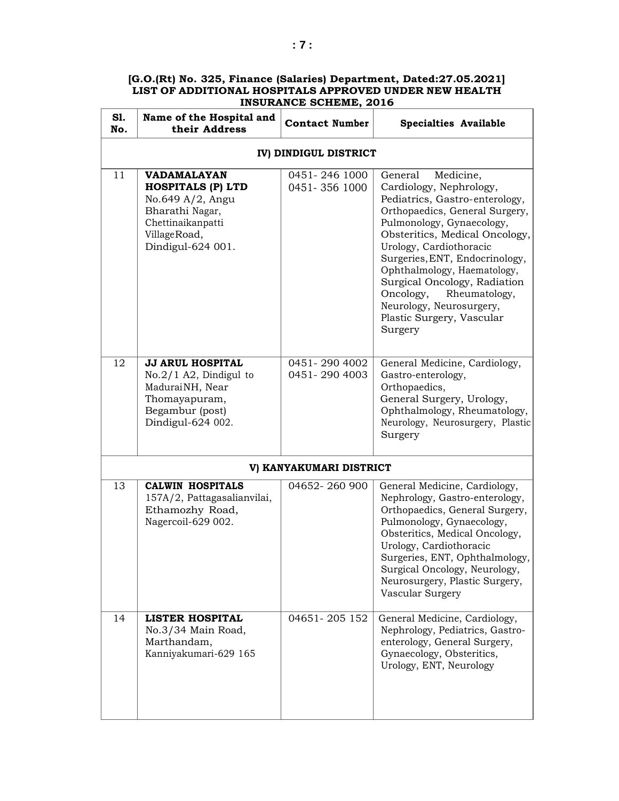#### **Sl. No. Name of the Hospital and Contact Number Specialties Available IV) DINDIGUL DISTRICT** 11 **VADAMALAYAN HOSPITALS (P) LTD** No.649 A/2, Angu Bharathi Nagar, Chettinaikanpatti VillageRoad, Dindigul-624 001. 0451- 246 1000 0451- 356 1000 General Medicine, Cardiology, Nephrology, Pediatrics, Gastro-enterology, Orthopaedics, General Surgery, Pulmonology, Gynaecology, Obsteritics, Medical Oncology, Urology, Cardiothoracic Surgeries,ENT, Endocrinology, Ophthalmology, Haematology, Surgical Oncology, Radiation Oncology, Rheumatology, Neurology, Neurosurgery, Plastic Surgery, Vascular Surgery 12 **JJ ARUL HOSPITAL** No.2/1 A2, Dindigul to MaduraiNH, Near Thomayapuram, Begambur (post) Dindigul-624 002. 0451- 290 4002 0451- 290 4003 General Medicine, Cardiology, Gastro-enterology, Orthopaedics, General Surgery, Urology, Ophthalmology, Rheumatology, Neurology, Neurosurgery, Plastic Surgery **V) KANYAKUMARI DISTRICT** 13 **CALWIN HOSPITALS** 157A/2, Pattagasalianvilai, Ethamozhy Road, Nagercoil-629 002. 04652- 260 900 General Medicine, Cardiology, Nephrology, Gastro-enterology, Orthopaedics, General Surgery, Pulmonology, Gynaecology, Obsteritics, Medical Oncology, Urology, Cardiothoracic Surgeries, ENT, Ophthalmology, Surgical Oncology, Neurology, Neurosurgery, Plastic Surgery, Vascular Surgery 14 **LISTER HOSPITAL** No.3/34 Main Road, Marthandam, Kanniyakumari-629 165 04651-205 152 General Medicine, Cardiology, Nephrology, Pediatrics, Gastroenterology, General Surgery, Gynaecology, Obsteritics, Urology, ENT, Neurology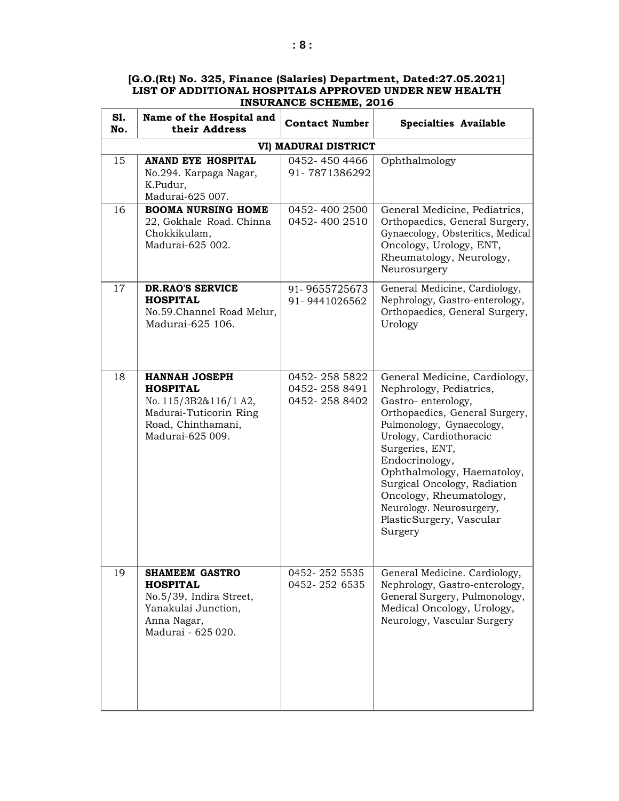| [G.O.(Rt) No. 325, Finance (Salaries) Department, Dated:27.05.2021] |
|---------------------------------------------------------------------|
| LIST OF ADDITIONAL HOSPITALS APPROVED UNDER NEW HEALTH              |
| <b>INSURANCE SCHEME, 2016</b>                                       |

| S1.<br>No. | Name of the Hospital and<br>their Address                                                                                            | <b>Contact Number</b>                           | <b>Specialties Available</b>                                                                                                                                                                                                                                                                                                                                               |
|------------|--------------------------------------------------------------------------------------------------------------------------------------|-------------------------------------------------|----------------------------------------------------------------------------------------------------------------------------------------------------------------------------------------------------------------------------------------------------------------------------------------------------------------------------------------------------------------------------|
|            |                                                                                                                                      | VI) MADURAI DISTRICT                            |                                                                                                                                                                                                                                                                                                                                                                            |
| 15         | <b>ANAND EYE HOSPITAL</b><br>No.294. Karpaga Nagar,<br>K.Pudur,<br>Madurai-625 007.                                                  | 0452-450 4466<br>91-7871386292                  | Ophthalmology                                                                                                                                                                                                                                                                                                                                                              |
| 16         | <b>BOOMA NURSING HOME</b><br>22, Gokhale Road. Chinna<br>Chokkikulam,<br>Madurai-625 002.                                            | 0452-400 2500<br>0452-400 2510                  | General Medicine, Pediatrics,<br>Orthopaedics, General Surgery,<br>Gynaecology, Obsteritics, Medical<br>Oncology, Urology, ENT,<br>Rheumatology, Neurology,<br>Neurosurgery                                                                                                                                                                                                |
| 17         | DR.RAO'S SERVICE<br><b>HOSPITAL</b><br>No.59. Channel Road Melur,<br>Madurai-625 106.                                                | 91-9655725673<br>91-9441026562                  | General Medicine, Cardiology,<br>Nephrology, Gastro-enterology,<br>Orthopaedics, General Surgery,<br>Urology                                                                                                                                                                                                                                                               |
| 18         | <b>HANNAH JOSEPH</b><br><b>HOSPITAL</b><br>No. 115/3B2&116/1 A2,<br>Madurai-Tuticorin Ring<br>Road, Chinthamani,<br>Madurai-625 009. | 0452-258 5822<br>0452-258 8491<br>0452-258 8402 | General Medicine, Cardiology,<br>Nephrology, Pediatrics,<br>Gastro-enterology,<br>Orthopaedics, General Surgery,<br>Pulmonology, Gynaecology,<br>Urology, Cardiothoracic<br>Surgeries, ENT,<br>Endocrinology,<br>Ophthalmology, Haematoloy,<br>Surgical Oncology, Radiation<br>Oncology, Rheumatology,<br>Neurology. Neurosurgery,<br>Plastic Surgery, Vascular<br>Surgery |
| 19         | <b>SHAMEEM GASTRO</b><br><b>HOSPITAL</b><br>No.5/39, Indira Street,<br>Yanakulai Junction,<br>Anna Nagar,<br>Madurai - 625 020.      | 0452-252 5535<br>0452-252 6535                  | General Medicine. Cardiology,<br>Nephrology, Gastro-enterology,<br>General Surgery, Pulmonology,<br>Medical Oncology, Urology,<br>Neurology, Vascular Surgery                                                                                                                                                                                                              |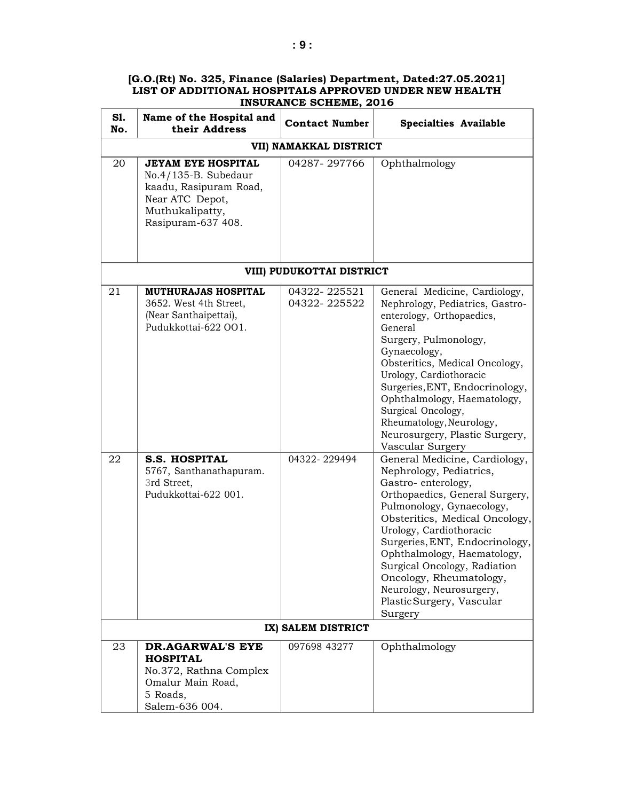| S1.<br>No. | Name of the Hospital and<br>their Address                                                                                               | <b>Contact Number</b>        | <b>Specialties Available</b>                                                                                                                                                                                                                                                                                                                                                                               |
|------------|-----------------------------------------------------------------------------------------------------------------------------------------|------------------------------|------------------------------------------------------------------------------------------------------------------------------------------------------------------------------------------------------------------------------------------------------------------------------------------------------------------------------------------------------------------------------------------------------------|
|            |                                                                                                                                         | VII) NAMAKKAL DISTRICT       |                                                                                                                                                                                                                                                                                                                                                                                                            |
| 20         | <b>JEYAM EYE HOSPITAL</b><br>No.4/135-B. Subedaur<br>kaadu, Rasipuram Road,<br>Near ATC Depot,<br>Muthukalipatty,<br>Rasipuram-637 408. | 04287-297766                 | Ophthalmology                                                                                                                                                                                                                                                                                                                                                                                              |
|            |                                                                                                                                         | VIII) PUDUKOTTAI DISTRICT    |                                                                                                                                                                                                                                                                                                                                                                                                            |
| 21         | <b>MUTHURAJAS HOSPITAL</b><br>3652. West 4th Street,<br>(Near Santhaipettai),<br>Pudukkottai-622 OO1.                                   | 04322-225521<br>04322-225522 | General Medicine, Cardiology,<br>Nephrology, Pediatrics, Gastro-<br>enterology, Orthopaedics,<br>General<br>Surgery, Pulmonology,<br>Gynaecology,<br>Obsteritics, Medical Oncology,<br>Urology, Cardiothoracic<br>Surgeries, ENT, Endocrinology,<br>Ophthalmology, Haematology,<br>Surgical Oncology,<br>Rheumatology, Neurology,<br>Neurosurgery, Plastic Surgery,<br>Vascular Surgery                    |
| 22         | <b>S.S. HOSPITAL</b><br>5767, Santhanathapuram.<br>3rd Street,<br>Pudukkottai-622 001.                                                  | 04322-229494                 | General Medicine, Cardiology,<br>Nephrology, Pediatrics,<br>Gastro-enterology,<br>Orthopaedics, General Surgery,<br>Pulmonology, Gynaecology,<br>Obsteritics, Medical Oncology,<br>Urology, Cardiothoracic<br>Surgeries, ENT, Endocrinology,<br>Ophthalmology, Haematology,<br>Surgical Oncology, Radiation<br>Oncology, Rheumatology,<br>Neurology, Neurosurgery,<br>Plastic Surgery, Vascular<br>Surgery |
|            |                                                                                                                                         | IX) SALEM DISTRICT           |                                                                                                                                                                                                                                                                                                                                                                                                            |
| 23         | <b>DR.AGARWAL'S EYE</b><br><b>HOSPITAL</b><br>No.372, Rathna Complex<br>Omalur Main Road,<br>5 Roads,<br>Salem-636 004.                 | 097698 43277                 | Ophthalmology                                                                                                                                                                                                                                                                                                                                                                                              |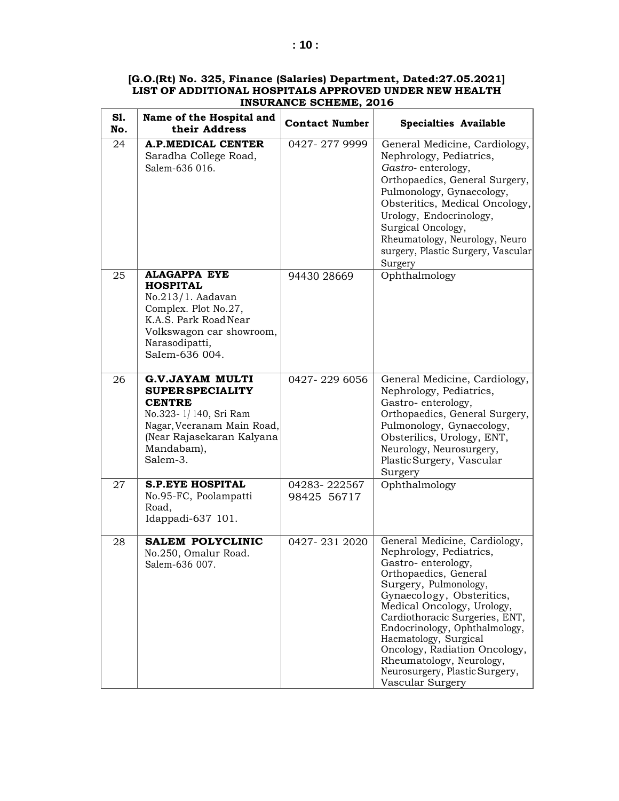| S1.<br>No. | Name of the Hospital and<br>their Address                                                                                                                                        | <b>Contact Number</b>       | <b>Specialties Available</b>                                                                                                                                                                                                                                                                                                                                                                               |
|------------|----------------------------------------------------------------------------------------------------------------------------------------------------------------------------------|-----------------------------|------------------------------------------------------------------------------------------------------------------------------------------------------------------------------------------------------------------------------------------------------------------------------------------------------------------------------------------------------------------------------------------------------------|
| 24         | <b>A.P.MEDICAL CENTER</b><br>Saradha College Road,<br>Salem-636 016.                                                                                                             | 0427-2779999                | General Medicine, Cardiology,<br>Nephrology, Pediatrics,<br>Gastro-enterology,<br>Orthopaedics, General Surgery,<br>Pulmonology, Gynaecology,<br>Obsteritics, Medical Oncology,<br>Urology, Endocrinology,<br>Surgical Oncology,<br>Rheumatology, Neurology, Neuro<br>surgery, Plastic Surgery, Vascular<br>Surgery                                                                                        |
| 25         | <b>ALAGAPPA EYE</b><br><b>HOSPITAL</b><br>No.213/1. Aadavan<br>Complex. Plot No.27,<br>K.A.S. Park Road Near<br>Volkswagon car showroom,<br>Narasodipatti,<br>SaIem-636 004.     | 94430 28669                 | Ophthalmology                                                                                                                                                                                                                                                                                                                                                                                              |
| 26         | <b>G.V.JAYAM MULTI</b><br><b>SUPER SPECIALITY</b><br><b>CENTRE</b><br>No.323-1/140, Sri Ram<br>Nagar, Veeranam Main Road,<br>(Near Rajasekaran Kalyana<br>Mandabam),<br>Salem-3. | 0427-229 6056               | General Medicine, Cardiology,<br>Nephrology, Pediatrics,<br>Gastro-enterology,<br>Orthopaedics, General Surgery,<br>Pulmonology, Gynaecology,<br>Obsterilics, Urology, ENT,<br>Neurology, Neurosurgery,<br>Plastic Surgery, Vascular<br>Surgery                                                                                                                                                            |
| 27         | <b>S.P.EYE HOSPITAL</b><br>No.95-FC, Poolampatti<br>Road,<br>Idappadi-637 101.                                                                                                   | 04283-222567<br>98425 56717 | Ophthalmology                                                                                                                                                                                                                                                                                                                                                                                              |
| 28         | <b>SALEM POLYCLINIC</b><br>No.250, Omalur Road.<br>Salem-636 007.                                                                                                                | 0427-231 2020               | General Medicine, Cardiology,<br>Nephrology, Pediatrics,<br>Gastro-enterology,<br>Orthopaedics, General<br>Surgery, Pulmonology,<br>Gynaecology, Obsteritics,<br>Medical Oncology, Urology,<br>Cardiothoracic Surgeries, ENT,<br>Endocrinology, Ophthalmology,<br>Haematology, Surgical<br>Oncology, Radiation Oncology,<br>Rheumatology, Neurology,<br>Neurosurgery, Plastic Surgery,<br>Vascular Surgery |

 $\overline{1}$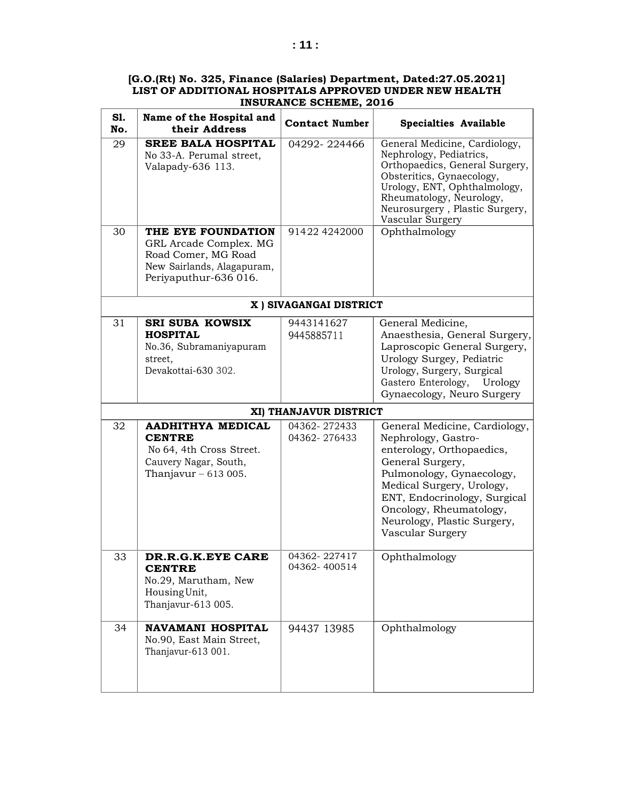| <b>S1.</b><br>No. | Name of the Hospital and<br>their Address                                                                                  | <b>Contact Number</b>        | <b>Specialties Available</b>                                                                                                                                                                                                                                                  |
|-------------------|----------------------------------------------------------------------------------------------------------------------------|------------------------------|-------------------------------------------------------------------------------------------------------------------------------------------------------------------------------------------------------------------------------------------------------------------------------|
| 29                | <b>SREE BALA HOSPITAL</b><br>No 33-A. Perumal street,<br>Valapady-636 113.                                                 | 04292-224466                 | General Medicine, Cardiology,<br>Nephrology, Pediatrics,<br>Orthopaedics, General Surgery,<br>Obsteritics, Gynaecology,<br>Urology, ENT, Ophthalmology,<br>Rheumatology, Neurology,<br>Neurosurgery, Plastic Surgery,<br>Vascular Surgery                                     |
| 30                | THE EYE FOUNDATION<br>GRL Arcade Complex. MG<br>Road Comer, MG Road<br>New Sairlands, Alagapuram,<br>Periyaputhur-636 016. | 91422 4242000                | Ophthalmology                                                                                                                                                                                                                                                                 |
|                   |                                                                                                                            | X ) SIVAGANGAI DISTRICT      |                                                                                                                                                                                                                                                                               |
| 31                | <b>SRI SUBA KOWSIX</b><br><b>HOSPITAL</b><br>No.36, Subramaniyapuram<br>street.<br>Devakottai-630 302.                     | 9443141627<br>9445885711     | General Medicine,<br>Anaesthesia, General Surgery,<br>Laproscopic General Surgery,<br>Urology Surgey, Pediatric<br>Urology, Surgery, Surgical<br>Gastero Enterology,<br>Urology<br>Gynaecology, Neuro Surgery                                                                 |
|                   |                                                                                                                            | XI) THANJAVUR DISTRICT       |                                                                                                                                                                                                                                                                               |
| 32                | <b>AADHITHYA MEDICAL</b><br><b>CENTRE</b><br>No 64, 4th Cross Street.<br>Cauvery Nagar, South,<br>Thanjavur $-613005$ .    | 04362-272433<br>04362-276433 | General Medicine, Cardiology,<br>Nephrology, Gastro-<br>enterology, Orthopaedics,<br>General Surgery,<br>Pulmonology, Gynaecology,<br>Medical Surgery, Urology,<br>ENT, Endocrinology, Surgical<br>Oncology, Rheumatology,<br>Neurology, Plastic Surgery,<br>Vascular Surgery |
| 33                | DR.R.G.K.EYE CARE<br><b>CENTRE</b><br>No.29, Marutham, New<br>Housing Unit,<br>Thanjavur-613 005.                          | 04362-227417<br>04362-400514 | Ophthalmology                                                                                                                                                                                                                                                                 |
| 34                | <b>NAVAMANI HOSPITAL</b><br>No.90, East Main Street,<br>Thanjavur-613 001.                                                 | 94437 13985                  | Ophthalmology                                                                                                                                                                                                                                                                 |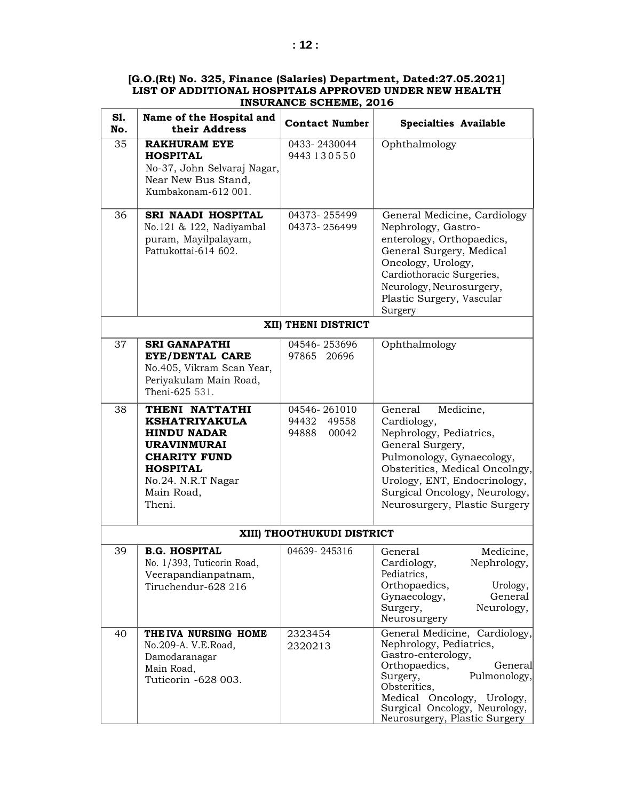| S1.<br>No. | Name of the Hospital and<br>their Address                                                                                                                                  | <b>Contact Number</b>                            | <b>Specialties Available</b>                                                                                                                                                                                                                           |
|------------|----------------------------------------------------------------------------------------------------------------------------------------------------------------------------|--------------------------------------------------|--------------------------------------------------------------------------------------------------------------------------------------------------------------------------------------------------------------------------------------------------------|
| 35         | <b>RAKHURAM EYE</b><br><b>HOSPITAL</b><br>No-37, John Selvaraj Nagar,<br>Near New Bus Stand,<br>Kumbakonam-612 001.                                                        | 0433-2430044<br>9443130550                       | Ophthalmology                                                                                                                                                                                                                                          |
| 36         | SRI NAADI HOSPITAL<br>No.121 & 122, Nadiyambal<br>puram, Mayilpalayam,<br>Pattukottai-614 602.                                                                             | 04373-255499<br>04373-256499                     | General Medicine, Cardiology<br>Nephrology, Gastro-<br>enterology, Orthopaedics,<br>General Surgery, Medical<br>Oncology, Urology,<br>Cardiothoracic Surgeries,<br>Neurology, Neurosurgery,<br>Plastic Surgery, Vascular<br>Surgery                    |
|            |                                                                                                                                                                            | XII) THENI DISTRICT                              |                                                                                                                                                                                                                                                        |
| 37         | <b>SRI GANAPATHI</b><br><b>EYE/DENTAL CARE</b><br>No.405, Vikram Scan Year,<br>Periyakulam Main Road,<br>Theni-625 531.                                                    | 04546-253696<br>97865 20696                      | Ophthalmology                                                                                                                                                                                                                                          |
| 38         | THENI NATTATHI<br><b>KSHATRIYAKULA</b><br><b>HINDU NADAR</b><br><b>URAVINMURAI</b><br><b>CHARITY FUND</b><br><b>HOSPITAL</b><br>No.24. N.R.T Nagar<br>Main Road,<br>Theni. | 04546-261010<br>94432<br>49558<br>94888<br>00042 | General<br>Medicine,<br>Cardiology,<br>Nephrology, Pediatrics,<br>General Surgery,<br>Pulmonology, Gynaecology,<br>Obsteritics, Medical Oncolngy,<br>Urology, ENT, Endocrinology,<br>Surgical Oncology, Neurology,<br>Neurosurgery, Plastic Surgery    |
|            |                                                                                                                                                                            | XIII) THOOTHUKUDI DISTRICT                       |                                                                                                                                                                                                                                                        |
| 39         | <b>B.G. HOSPITAL</b><br>No. 1/393, Tuticorin Road,<br>Veerapandianpatnam,<br>Tiruchendur-628 216                                                                           | 04639-245316                                     | General<br>Medicine,<br>Nephrology,<br>Cardiology,<br>Pediatrics,<br>Orthopaedics,<br>Urology,<br>General<br>Gynaecology,<br>Surgery,<br>Neurology,<br>Neurosurgery                                                                                    |
| 40         | THE IVA NURSING HOME<br>No.209-A. V.E.Road,<br>Damodaranagar<br>Main Road,<br>Tuticorin -628 003.                                                                          | 2323454<br>2320213                               | General Medicine, Cardiology,<br>Nephrology, Pediatrics,<br>Gastro-enterology,<br>Orthopaedics,<br>General<br>Surgery,<br>Pulmonology,<br>Obsteritics,<br>Medical Oncology, Urology,<br>Surgical Oncology, Neurology,<br>Neurosurgery, Plastic Surgery |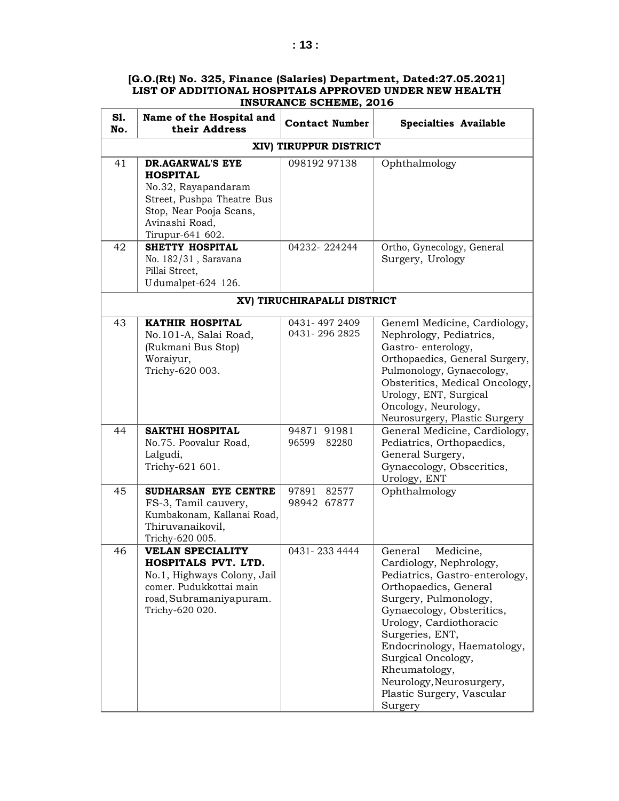| S1.<br>No. | Name of the Hospital and<br>their Address                                                                                                                 | <b>Contact Number</b>         | <b>Specialties Available</b>                                                                                                                                                                                                                                                                                                                             |
|------------|-----------------------------------------------------------------------------------------------------------------------------------------------------------|-------------------------------|----------------------------------------------------------------------------------------------------------------------------------------------------------------------------------------------------------------------------------------------------------------------------------------------------------------------------------------------------------|
|            |                                                                                                                                                           | XIV) TIRUPPUR DISTRICT        |                                                                                                                                                                                                                                                                                                                                                          |
| 41         | DR.AGARWAL'S EYE<br><b>HOSPITAL</b><br>No.32, Rayapandaram<br>Street, Pushpa Theatre Bus<br>Stop, Near Pooja Scans,<br>Avinashi Road,<br>Tirupur-641 602. | 098192 97138                  | Ophthalmology                                                                                                                                                                                                                                                                                                                                            |
| 42         | <b>SHETTY HOSPITAL</b><br>No. 182/31, Saravana<br>Pillai Street,<br>U dumalpet-624 126.                                                                   | 04232-224244                  | Ortho, Gynecology, General<br>Surgery, Urology                                                                                                                                                                                                                                                                                                           |
|            |                                                                                                                                                           | XV) TIRUCHIRAPALLI DISTRICT   |                                                                                                                                                                                                                                                                                                                                                          |
| 43         | <b>KATHIR HOSPITAL</b><br>No.101-A, Salai Road,<br>(Rukmani Bus Stop)<br>Woraiyur,<br>Trichy-620 003.                                                     | 0431-4972409<br>0431-2962825  | Geneml Medicine, Cardiology,<br>Nephrology, Pediatrics,<br>Gastro-enterology,<br>Orthopaedics, General Surgery,<br>Pulmonology, Gynaecology,<br>Obsteritics, Medical Oncology,<br>Urology, ENT, Surgical<br>Oncology, Neurology,<br>Neurosurgery, Plastic Surgery                                                                                        |
| 44         | SAKTHI HOSPITAL<br>No.75. Poovalur Road,<br>Lalgudi,<br>Trichy-621 601.                                                                                   | 94871 91981<br>82280<br>96599 | General Medicine, Cardiology,<br>Pediatrics, Orthopaedics,<br>General Surgery,<br>Gynaecology, Obsceritics,<br>Urology, ENT                                                                                                                                                                                                                              |
| 45         | SUDHARSAN EYE CENTRE<br>FS-3, Tamil cauvery,<br>Kumbakonam, Kallanai Road,<br>Thiruvanaikovil,<br>Trichy-620 005.                                         | 97891<br>82577<br>98942 67877 | Ophthalmology                                                                                                                                                                                                                                                                                                                                            |
| 46         | <b>VELAN SPECIALITY</b><br>HOSPITALS PVT LTD<br>No.1, Highways Colony, Jail<br>comer. Pudukkottai main<br>road, Subramaniyapuram.<br>Trichy-620 020.      | 0431-233 4444                 | General<br>Medicine,<br>Cardiology, Nephrology,<br>Pediatrics, Gastro-enterology,<br>Orthopaedics, General<br>Surgery, Pulmonology,<br>Gynaecology, Obsteritics,<br>Urology, Cardiothoracic<br>Surgeries, ENT,<br>Endocrinology, Haematology,<br>Surgical Oncology,<br>Rheumatology,<br>Neurology, Neurosurgery,<br>Plastic Surgery, Vascular<br>Surgery |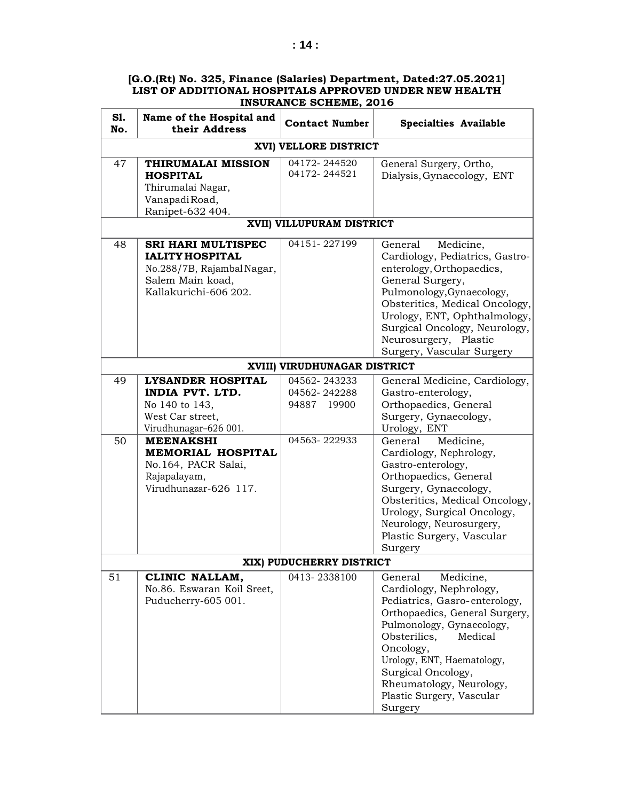| S1.<br>No. | Name of the Hospital and<br>their Address                                                                                                                                                                                  | <b>Contact Number</b>                                       | <b>Specialties Available</b>                                                                                                                                                                                                                                                                                                                                               |
|------------|----------------------------------------------------------------------------------------------------------------------------------------------------------------------------------------------------------------------------|-------------------------------------------------------------|----------------------------------------------------------------------------------------------------------------------------------------------------------------------------------------------------------------------------------------------------------------------------------------------------------------------------------------------------------------------------|
|            |                                                                                                                                                                                                                            | XVI) VELLORE DISTRICT                                       |                                                                                                                                                                                                                                                                                                                                                                            |
| 47         | THIRUMALAI MISSION<br><b>HOSPITAL</b><br>Thirumalai Nagar,<br>VanapadiRoad,<br>Ranipet-632 404.                                                                                                                            | 04172-244520<br>04172-244521                                | General Surgery, Ortho,<br>Dialysis, Gynaecology, ENT                                                                                                                                                                                                                                                                                                                      |
|            |                                                                                                                                                                                                                            | XVII) VILLUPURAM DISTRICT                                   |                                                                                                                                                                                                                                                                                                                                                                            |
| 48         | <b>SRI HARI MULTISPEC</b><br><b>IALITY HOSPITAL</b><br>No.288/7B, Rajambal Nagar,<br>Salem Main koad,<br>Kallakurichi-606 202.                                                                                             | 04151-227199                                                | Medicine,<br>General<br>Cardiology, Pediatrics, Gastro-<br>enterology, Orthopaedics,<br>General Surgery,<br>Pulmonology, Gynaecology,<br>Obsteritics, Medical Oncology,<br>Urology, ENT, Ophthalmology,<br>Surgical Oncology, Neurology,<br>Neurosurgery, Plastic<br>Surgery, Vascular Surgery                                                                             |
|            |                                                                                                                                                                                                                            | XVIII) VIRUDHUNAGAR DISTRICT                                |                                                                                                                                                                                                                                                                                                                                                                            |
| 49<br>50   | <b>LYSANDER HOSPITAL</b><br>INDIA PVT. LTD.<br>No 140 to 143,<br>West Car street,<br>Virudhunagar-626 001.<br><b>MEENAKSHI</b><br><b>MEMORIAL HOSPITAL</b><br>No.164, PACR Salai,<br>Rajapalayam,<br>Virudhunazar-626 117. | 04562-243233<br>04562-242288<br>94887 19900<br>04563-222933 | General Medicine, Cardiology,<br>Gastro-enterology,<br>Orthopaedics, General<br>Surgery, Gynaecology,<br>Urology, ENT<br>General<br>Medicine,<br>Cardiology, Nephrology,<br>Gastro-enterology,<br>Orthopaedics, General<br>Surgery, Gynaecology,<br>Obsteritics, Medical Oncology,<br>Urology, Surgical Oncology,<br>Neurology, Neurosurgery,<br>Plastic Surgery, Vascular |
|            |                                                                                                                                                                                                                            |                                                             | Surgery                                                                                                                                                                                                                                                                                                                                                                    |
|            |                                                                                                                                                                                                                            | XIX) PUDUCHERRY DISTRICT                                    |                                                                                                                                                                                                                                                                                                                                                                            |
| 51         | CLINIC NALLAM,<br>No.86. Eswaran Koil Sreet,<br>Puducherry-605 001.                                                                                                                                                        | 0413-2338100                                                | General<br>Medicine,<br>Cardiology, Nephrology,<br>Pediatrics, Gasro-enterology,<br>Orthopaedics, General Surgery,<br>Pulmonology, Gynaecology,<br>Obsterilics,<br>Medical<br>Oncology,<br>Urology, ENT, Haematology,<br>Surgical Oncology,<br>Rheumatology, Neurology,<br>Plastic Surgery, Vascular<br>Surgery                                                            |

 $\mathsf{r}$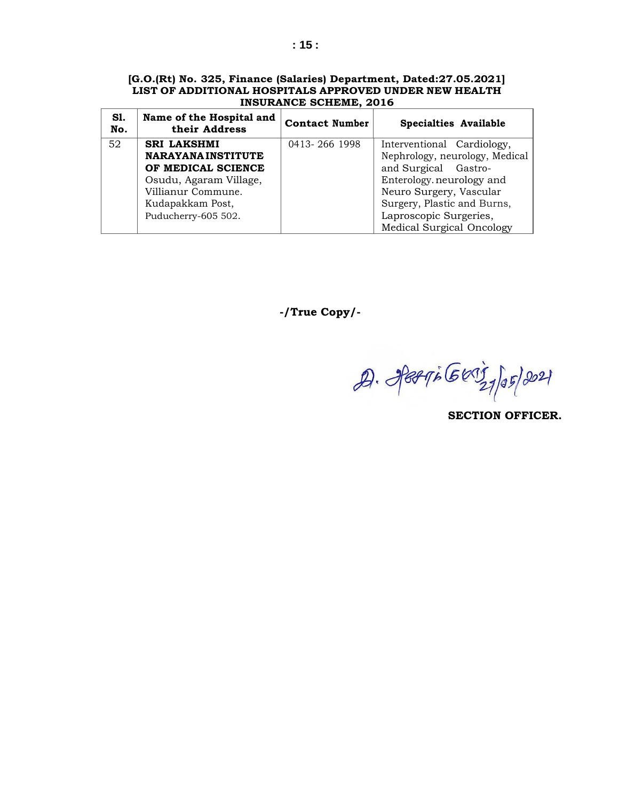| [G.O.(Rt) No. 325, Finance (Salaries) Department, Dated:27.05.2021] |  |  |  |
|---------------------------------------------------------------------|--|--|--|
| LIST OF ADDITIONAL HOSPITALS APPROVED UNDER NEW HEALTH              |  |  |  |
| INSURANCE SCHEME, 2016                                              |  |  |  |
|                                                                     |  |  |  |

| S1.<br>No. | Name of the Hospital and<br>their Address | <b>Contact Number</b> | <b>Specialties Available</b>   |
|------------|-------------------------------------------|-----------------------|--------------------------------|
| 52         | <b>SRI LAKSHMI</b>                        | 0413-266 1998         | Interventional Cardiology,     |
|            | <b>NARAYANAINSTITUTE</b>                  |                       | Nephrology, neurology, Medical |
|            | OF MEDICAL SCIENCE                        |                       | and Surgical Gastro-           |
|            | Osudu, Agaram Village,                    |                       | Enterology.neurology and       |
|            | Villianur Commune.                        |                       | Neuro Surgery, Vascular        |
|            | Kudapakkam Post,                          |                       | Surgery, Plastic and Burns,    |
|            | Puducherry-605 502.                       |                       | Laproscopic Surgeries,         |
|            |                                           |                       | Medical Surgical Oncology      |

**-/True Copy/-**

D. Jerri Geriz 195/2021

**SECTION OFFICER.**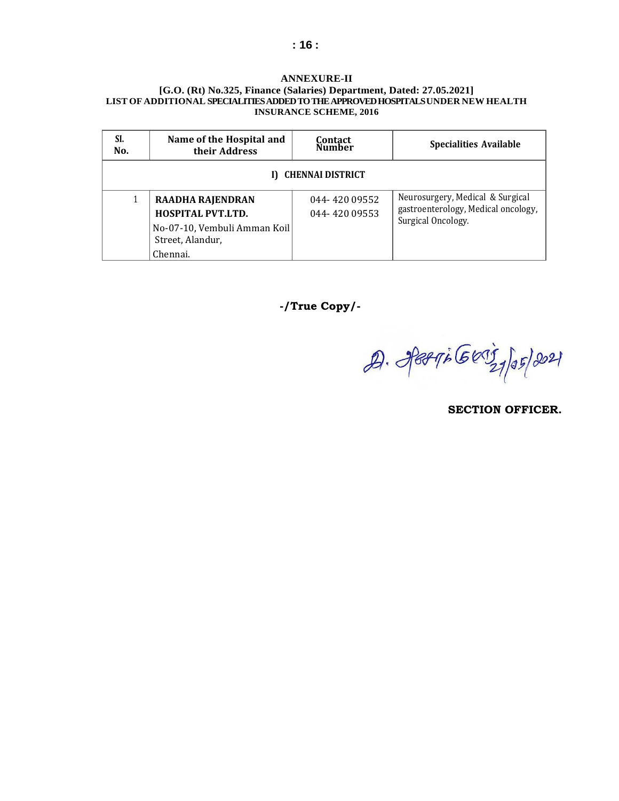#### **ANNEXURE-II**

#### **[G.O. (Rt) No.325, Finance (Salaries) Department, Dated: 27.05.2021] LIST OF ADDITIONAL SPECIALITIES ADDED TO THE APPROVEDHOSPITALS UNDER NEW HEALTH INSURANCE SCHEME, 2016**

| SI.<br>No.              | Name of the Hospital and<br>their Address                                                                           | Contact<br>Number             | <b>Specialities Available</b>                                                                 |  |  |  |  |
|-------------------------|---------------------------------------------------------------------------------------------------------------------|-------------------------------|-----------------------------------------------------------------------------------------------|--|--|--|--|
| <b>CHENNAI DISTRICT</b> |                                                                                                                     |                               |                                                                                               |  |  |  |  |
|                         | <b>RAADHA RAJENDRAN</b><br><b>HOSPITAL PVT.LTD.</b><br>No-07-10, Vembuli Amman Koil<br>Street, Alandur,<br>Chennai. | 044-420 09552<br>044-42009553 | Neurosurgery, Medical & Surgical<br>gastroenterology, Medical oncology,<br>Surgical Oncology. |  |  |  |  |

**-/True Copy/-**

 $29.$  Jet  $76603$   $19521$ 

**SECTION OFFICER.**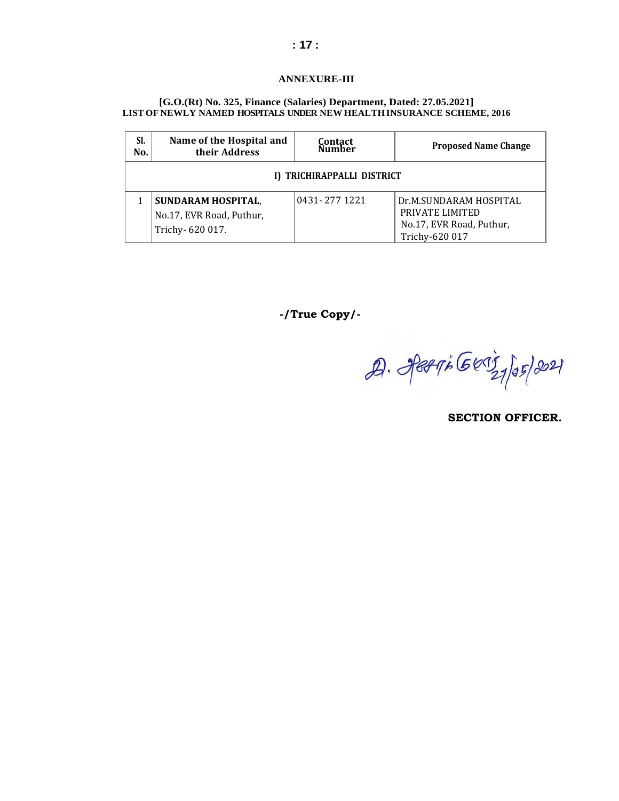#### **ANNEXURE-III**

#### **[G.O.(Rt) No. 325, Finance (Salaries) Department, Dated: 27.05.2021] LIST OF NEWLY NAMED HOSPITALS UNDER NEW HEALTH INSURANCE SCHEME, 2016**

| SI.<br>No.                 | Name of the Hospital and<br>their Address                                | Contact<br>Number | <b>Proposed Name Change</b>                                                             |  |  |  |  |
|----------------------------|--------------------------------------------------------------------------|-------------------|-----------------------------------------------------------------------------------------|--|--|--|--|
| I) TRICHIRAPPALLI DISTRICT |                                                                          |                   |                                                                                         |  |  |  |  |
|                            | <b>SUNDARAM HOSPITAL,</b><br>No.17, EVR Road, Puthur,<br>Trichy-620 017. | 0431-2771221      | Dr.M.SUNDARAM HOSPITAL<br>PRIVATE LIMITED<br>No.17, EVR Road, Puthur,<br>Trichy-620 017 |  |  |  |  |

**-/True Copy/-**

 $29.$  Jet  $76603$   $19521$ 

**SECTION OFFICER.**